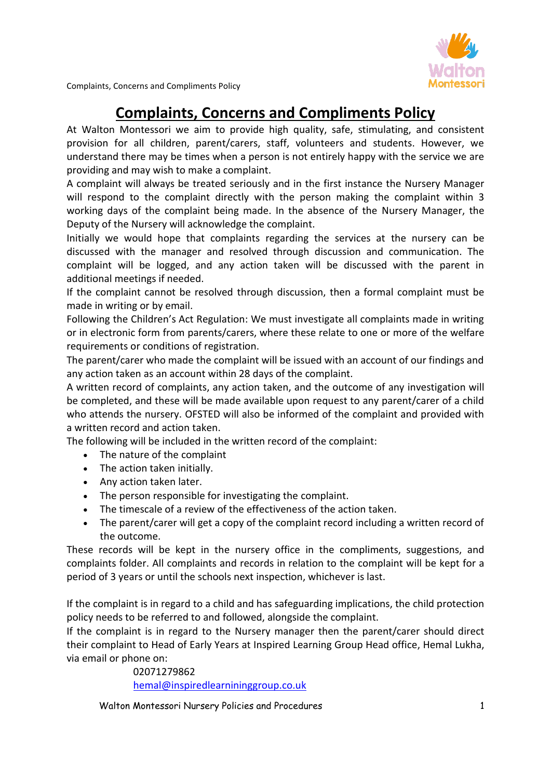

Complaints, Concerns and Compliments Policy

## **Complaints, Concerns and Compliments Policy**

At Walton Montessori we aim to provide high quality, safe, stimulating, and consistent provision for all children, parent/carers, staff, volunteers and students. However, we understand there may be times when a person is not entirely happy with the service we are providing and may wish to make a complaint.

A complaint will always be treated seriously and in the first instance the Nursery Manager will respond to the complaint directly with the person making the complaint within 3 working days of the complaint being made. In the absence of the Nursery Manager, the Deputy of the Nursery will acknowledge the complaint.

Initially we would hope that complaints regarding the services at the nursery can be discussed with the manager and resolved through discussion and communication. The complaint will be logged, and any action taken will be discussed with the parent in additional meetings if needed.

If the complaint cannot be resolved through discussion, then a formal complaint must be made in writing or by email.

Following the Children's Act Regulation: We must investigate all complaints made in writing or in electronic form from parents/carers, where these relate to one or more of the welfare requirements or conditions of registration.

The parent/carer who made the complaint will be issued with an account of our findings and any action taken as an account within 28 days of the complaint.

A written record of complaints, any action taken, and the outcome of any investigation will be completed, and these will be made available upon request to any parent/carer of a child who attends the nursery. OFSTED will also be informed of the complaint and provided with a written record and action taken.

The following will be included in the written record of the complaint:

- The nature of the complaint
- The action taken initially.
- Any action taken later.
- The person responsible for investigating the complaint.
- The timescale of a review of the effectiveness of the action taken.
- The parent/carer will get a copy of the complaint record including a written record of the outcome.

These records will be kept in the nursery office in the compliments, suggestions, and complaints folder. All complaints and records in relation to the complaint will be kept for a period of 3 years or until the schools next inspection, whichever is last.

If the complaint is in regard to a child and has safeguarding implications, the child protection policy needs to be referred to and followed, alongside the complaint.

If the complaint is in regard to the Nursery manager then the parent/carer should direct their complaint to Head of Early Years at Inspired Learning Group Head office, Hemal Lukha, via email or phone on:

> 02071279862 [hemal@inspiredlearnininggroup.co.uk](mailto:hemal@inspiredlearnininggroup.co.uk)

Walton Montessori Nursery Policies and Procedures 1